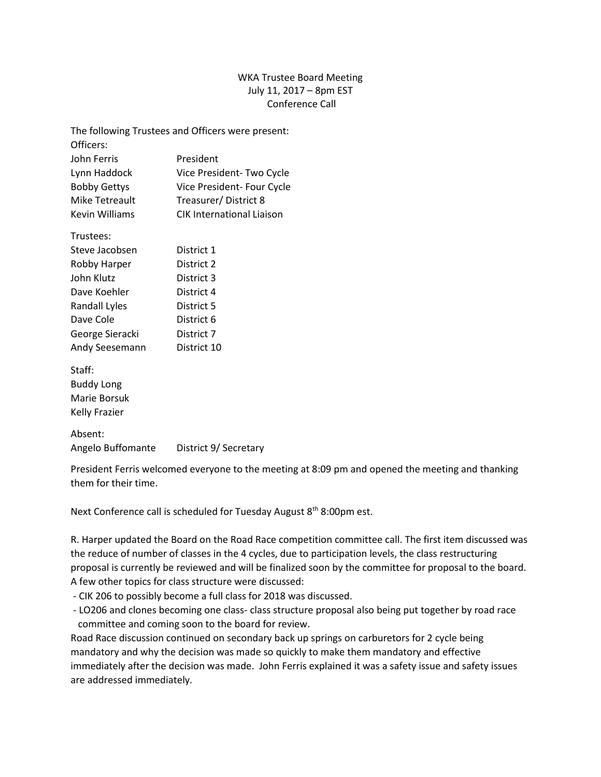## WKA Trustee Board Meeting July 11, 2017 – 8pm EST Conference Call

| The following Trustees and Officers were present: |                                  |
|---------------------------------------------------|----------------------------------|
| Officers:                                         |                                  |
| John Ferris                                       | President                        |
| Lynn Haddock                                      | Vice President- Two Cycle        |
| <b>Bobby Gettys</b>                               | Vice President- Four Cycle       |
| Mike Tetreault                                    | Treasurer/District 8             |
| Kevin Williams                                    | <b>CIK International Liaison</b> |
|                                                   |                                  |

| Trustees:       |             |
|-----------------|-------------|
| Steve Jacobsen  | District 1  |
| Robby Harper    | District 2  |
| John Klutz      | District 3  |
| Dave Koehler    | District 4  |
| Randall Lyles   | District 5  |
| Dave Cole       | District 6  |
| George Sieracki | District 7  |
| Andy Seesemann  | District 10 |

Staff: Buddy Long Marie Borsuk Kelly Frazier

Absent: Angelo Buffomante District 9/ Secretary

President Ferris welcomed everyone to the meeting at 8:09 pm and opened the meeting and thanking them for their time.

Next Conference call is scheduled for Tuesday August 8<sup>th</sup> 8:00pm est.

R. Harper updated the Board on the Road Race competition committee call. The first item discussed was the reduce of number of classes in the 4 cycles, due to participation levels, the class restructuring proposal is currently be reviewed and will be finalized soon by the committee for proposal to the board. A few other topics for class structure were discussed:

- CIK 206 to possibly become a full class for 2018 was discussed.
- LO206 and clones becoming one class- class structure proposal also being put together by road race committee and coming soon to the board for review.

Road Race discussion continued on secondary back up springs on carburetors for 2 cycle being mandatory and why the decision was made so quickly to make them mandatory and effective immediately after the decision was made. John Ferris explained it was a safety issue and safety issues are addressed immediately.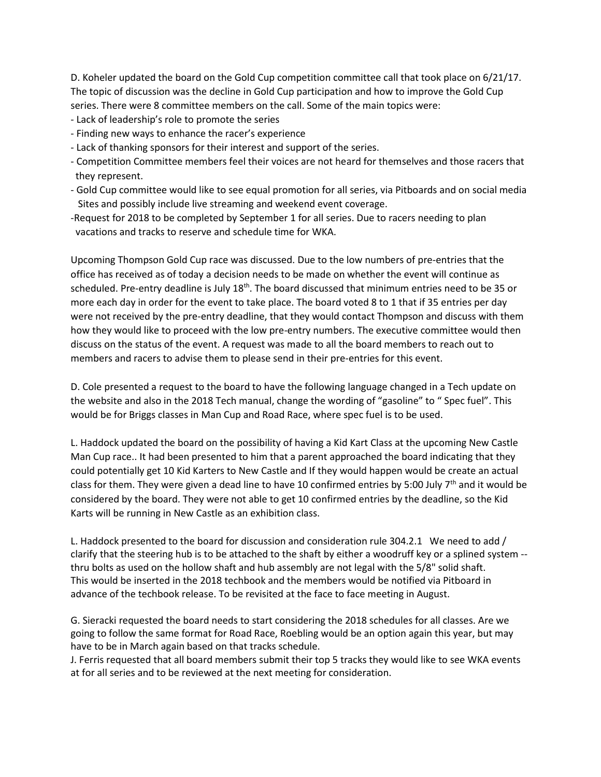D. Koheler updated the board on the Gold Cup competition committee call that took place on 6/21/17. The topic of discussion was the decline in Gold Cup participation and how to improve the Gold Cup series. There were 8 committee members on the call. Some of the main topics were:

- Lack of leadership's role to promote the series
- Finding new ways to enhance the racer's experience
- Lack of thanking sponsors for their interest and support of the series.
- Competition Committee members feel their voices are not heard for themselves and those racers that they represent.
- Gold Cup committee would like to see equal promotion for all series, via Pitboards and on social media Sites and possibly include live streaming and weekend event coverage.
- -Request for 2018 to be completed by September 1 for all series. Due to racers needing to plan vacations and tracks to reserve and schedule time for WKA.

Upcoming Thompson Gold Cup race was discussed. Due to the low numbers of pre-entries that the office has received as of today a decision needs to be made on whether the event will continue as scheduled. Pre-entry deadline is July 18<sup>th</sup>. The board discussed that minimum entries need to be 35 or more each day in order for the event to take place. The board voted 8 to 1 that if 35 entries per day were not received by the pre-entry deadline, that they would contact Thompson and discuss with them how they would like to proceed with the low pre-entry numbers. The executive committee would then discuss on the status of the event. A request was made to all the board members to reach out to members and racers to advise them to please send in their pre-entries for this event.

D. Cole presented a request to the board to have the following language changed in a Tech update on the website and also in the 2018 Tech manual, change the wording of "gasoline" to " Spec fuel". This would be for Briggs classes in Man Cup and Road Race, where spec fuel is to be used.

L. Haddock updated the board on the possibility of having a Kid Kart Class at the upcoming New Castle Man Cup race.. It had been presented to him that a parent approached the board indicating that they could potentially get 10 Kid Karters to New Castle and If they would happen would be create an actual class for them. They were given a dead line to have 10 confirmed entries by 5:00 July 7<sup>th</sup> and it would be considered by the board. They were not able to get 10 confirmed entries by the deadline, so the Kid Karts will be running in New Castle as an exhibition class.

L. Haddock presented to the board for discussion and consideration rule 304.2.1 We need to add / clarify that the steering hub is to be attached to the shaft by either a woodruff key or a splined system - thru bolts as used on the hollow shaft and hub assembly are not legal with the 5/8" solid shaft. This would be inserted in the 2018 techbook and the members would be notified via Pitboard in advance of the techbook release. To be revisited at the face to face meeting in August.

G. Sieracki requested the board needs to start considering the 2018 schedules for all classes. Are we going to follow the same format for Road Race, Roebling would be an option again this year, but may have to be in March again based on that tracks schedule.

J. Ferris requested that all board members submit their top 5 tracks they would like to see WKA events at for all series and to be reviewed at the next meeting for consideration.